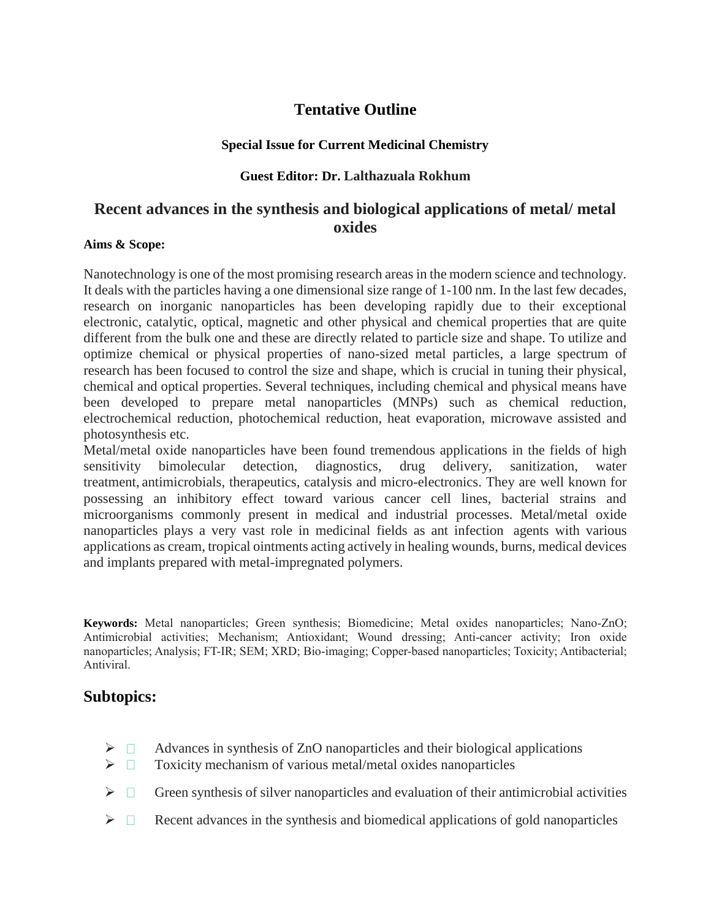# **Tentative Outline**

### **Special Issue for Current Medicinal Chemistry**

### **Guest Editor: Dr. Lalthazuala Rokhum**

# **Recent advances in the synthesis and biological applications of metal/ metal oxides**

#### **Aims & Scope:**

Nanotechnology is one of the most promising research areas in the modern science and technology. It deals with the particles having a one dimensional size range of 1-100 nm. In the last few decades, research on inorganic nanoparticles has been developing rapidly due to their exceptional electronic, catalytic, optical, magnetic and other physical and chemical properties that are quite different from the bulk one and these are directly related to particle size and shape. To utilize and optimize chemical or physical properties of nano-sized metal particles, a large spectrum of research has been focused to control the size and shape, which is crucial in tuning their physical, chemical and optical properties. Several techniques, including chemical and physical means have been developed to prepare metal nanoparticles (MNPs) such as chemical reduction, electrochemical reduction, photochemical reduction, heat evaporation, microwave assisted and photosynthesis etc.

Metal/metal oxide nanoparticles have been found tremendous applications in the fields of high sensitivity bimolecular detection, diagnostics, drug delivery, sanitization, water treatment, antimicrobials, therapeutics, catalysis and micro-electronics. They are well known for possessing an inhibitory effect toward various cancer cell lines, bacterial strains and microorganisms commonly present in medical and industrial processes. Metal/metal oxide nanoparticles plays a very vast role in medicinal fields as ant infection agents with various applications as cream, tropical ointments acting actively in healing wounds, burns, medical devices and implants prepared with metal-impregnated polymers.

**Keywords:** Metal nanoparticles; Green synthesis; Biomedicine; Metal oxides nanoparticles; Nano-ZnO; Antimicrobial activities; Mechanism; Antioxidant; Wound dressing; Anti-cancer activity; Iron oxide nanoparticles; Analysis; FT-IR; SEM; XRD; Bio-imaging; Copper-based nanoparticles; Toxicity; Antibacterial; Antiviral.

## **Subtopics:**

- $\triangleright$   $\Box$  Advances in synthesis of ZnO nanoparticles and their biological applications
- $\triangleright$   $\Box$  Toxicity mechanism of various metal/metal oxides nanoparticles
- $\triangleright \Box$  Green synthesis of silver nanoparticles and evaluation of their antimicrobial activities
- $\triangleright$   $\Box$  Recent advances in the synthesis and biomedical applications of gold nanoparticles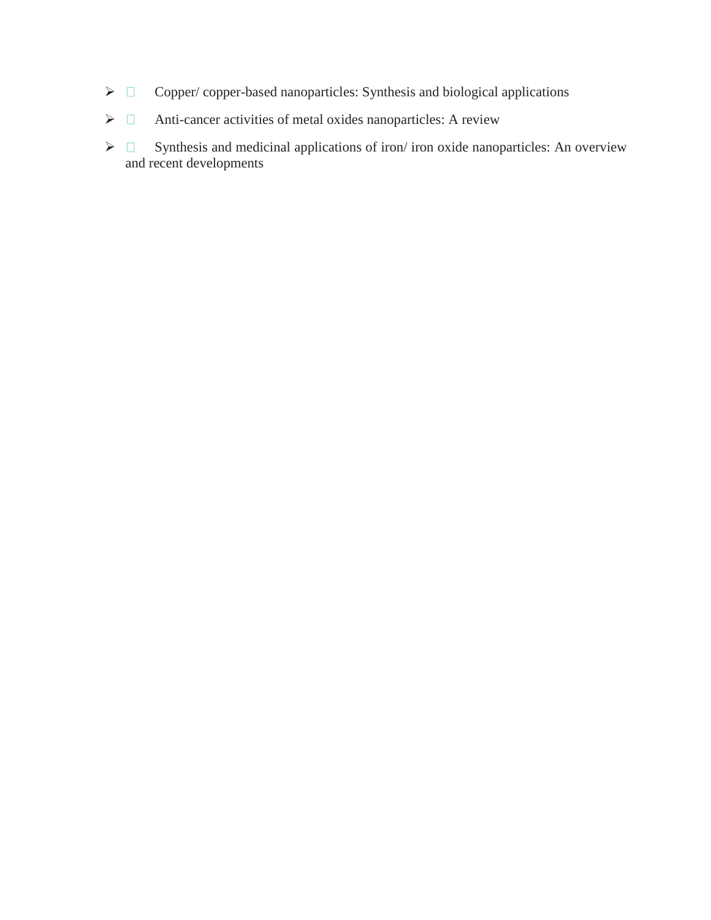- $\triangleright$   $\Box$  Copper/ copper-based nanoparticles: Synthesis and biological applications
- $\triangleright$   $\Box$  Anti-cancer activities of metal oxides nanoparticles: A review
- $\triangleright$   $\square$  Synthesis and medicinal applications of iron/ iron oxide nanoparticles: An overview and recent developments